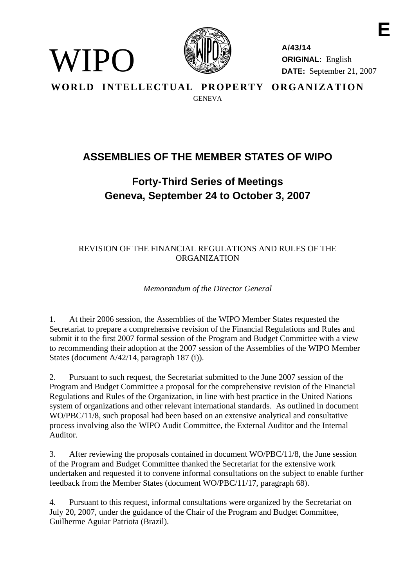

WIPO)

**A/43/14 ORIGINAL:** English **DATE:** September 21, 2007

**E** 

**WORLD INTELLECTUAL PROPERTY ORGANIZATION GENEVA** 

## **ASSEMBLIES OF THE MEMBER STATES OF WIPO**

## **Forty-Third Series of Meetings Geneva, September 24 to October 3, 2007**

## REVISION OF THE FINANCIAL REGULATIONS AND RULES OF THE ORGANIZATION

*Memorandum of the Director General* 

1. At their 2006 session, the Assemblies of the WIPO Member States requested the Secretariat to prepare a comprehensive revision of the Financial Regulations and Rules and submit it to the first 2007 formal session of the Program and Budget Committee with a view to recommending their adoption at the 2007 session of the Assemblies of the WIPO Member States (document A/42/14, paragraph 187 (i)).

2. Pursuant to such request, the Secretariat submitted to the June 2007 session of the Program and Budget Committee a proposal for the comprehensive revision of the Financial Regulations and Rules of the Organization, in line with best practice in the United Nations system of organizations and other relevant international standards. As outlined in document WO/PBC/11/8, such proposal had been based on an extensive analytical and consultative process involving also the WIPO Audit Committee, the External Auditor and the Internal Auditor.

3. After reviewing the proposals contained in document WO/PBC/11/8, the June session of the Program and Budget Committee thanked the Secretariat for the extensive work undertaken and requested it to convene informal consultations on the subject to enable further feedback from the Member States (document WO/PBC/11/17, paragraph 68).

4. Pursuant to this request, informal consultations were organized by the Secretariat on July 20, 2007, under the guidance of the Chair of the Program and Budget Committee, Guilherme Aguiar Patriota (Brazil).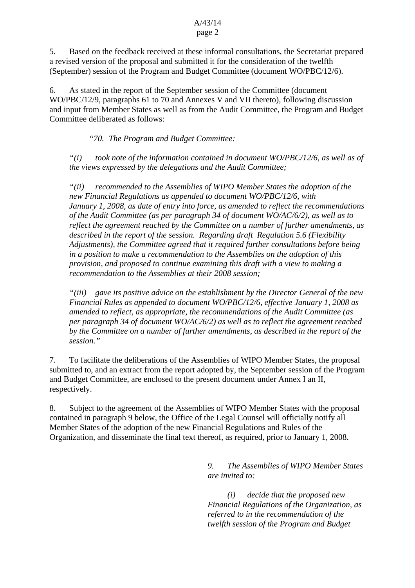5. Based on the feedback received at these informal consultations, the Secretariat prepared a revised version of the proposal and submitted it for the consideration of the twelfth (September) session of the Program and Budget Committee (document WO/PBC/12/6).

6. As stated in the report of the September session of the Committee (document WO/PBC/12/9, paragraphs 61 to 70 and Annexes V and VII thereto), following discussion and input from Member States as well as from the Audit Committee, the Program and Budget Committee deliberated as follows:

*"70. The Program and Budget Committee:* 

 *"(i) took note of the information contained in document WO/PBC/12/6, as well as of the views expressed by the delegations and the Audit Committee;* 

 *"(ii) recommended to the Assemblies of WIPO Member States the adoption of the new Financial Regulations as appended to document WO/PBC/12/6, with January 1, 2008, as date of entry into force, as amended to reflect the recommendations of the Audit Committee (as per paragraph 34 of document WO/AC/6/2), as well as to reflect the agreement reached by the Committee on a number of further amendments, as described in the report of the session. Regarding draft Regulation 5.6 (Flexibility Adjustments), the Committee agreed that it required further consultations before being in a position to make a recommendation to the Assemblies on the adoption of this provision, and proposed to continue examining this draft with a view to making a recommendation to the Assemblies at their 2008 session;* 

 *"(iii) gave its positive advice on the establishment by the Director General of the new Financial Rules as appended to document WO/PBC/12/6, effective January 1, 2008 as amended to reflect, as appropriate, the recommendations of the Audit Committee (as per paragraph 34 of document WO/AC/6/2) as well as to reflect the agreement reached by the Committee on a number of further amendments, as described in the report of the session."*

7. To facilitate the deliberations of the Assemblies of WIPO Member States, the proposal submitted to, and an extract from the report adopted by, the September session of the Program and Budget Committee, are enclosed to the present document under Annex I an II, respectively.

8. Subject to the agreement of the Assemblies of WIPO Member States with the proposal contained in paragraph 9 below, the Office of the Legal Counsel will officially notify all Member States of the adoption of the new Financial Regulations and Rules of the Organization, and disseminate the final text thereof, as required, prior to January 1, 2008.

> *9. The Assemblies of WIPO Member States are invited to:*

> *(i) decide that the proposed new Financial Regulations of the Organization, as referred to in the recommendation of the twelfth session of the Program and Budget*